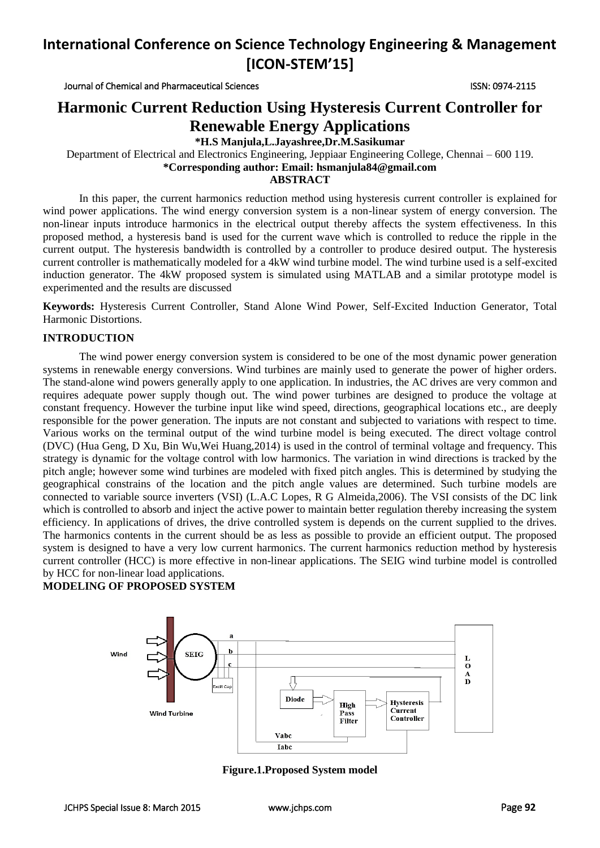Journal of Chemical and Pharmaceutical Sciences ISSN: 0974-2115

## **Harmonic Current Reduction Using Hysteresis Current Controller for Renewable Energy Applications**

**\*H.S Manjula,L.Jayashree,Dr.M.Sasikumar**

Department of Electrical and Electronics Engineering, Jeppiaar Engineering College, Chennai – 600 119. **\*Corresponding author: Email: hsmanjula84@gmail.com**

**ABSTRACT**

In this paper, the current harmonics reduction method using hysteresis current controller is explained for wind power applications. The wind energy conversion system is a non-linear system of energy conversion. The non-linear inputs introduce harmonics in the electrical output thereby affects the system effectiveness. In this proposed method, a hysteresis band is used for the current wave which is controlled to reduce the ripple in the current output. The hysteresis bandwidth is controlled by a controller to produce desired output. The hysteresis current controller is mathematically modeled for a 4kW wind turbine model. The wind turbine used is a self-excited induction generator. The 4kW proposed system is simulated using MATLAB and a similar prototype model is experimented and the results are discussed

**Keywords:** Hysteresis Current Controller, Stand Alone Wind Power, Self-Excited Induction Generator, Total Harmonic Distortions.

### **INTRODUCTION**

The wind power energy conversion system is considered to be one of the most dynamic power generation systems in renewable energy conversions. Wind turbines are mainly used to generate the power of higher orders. The stand-alone wind powers generally apply to one application. In industries, the AC drives are very common and requires adequate power supply though out. The wind power turbines are designed to produce the voltage at constant frequency. However the turbine input like wind speed, directions, geographical locations etc., are deeply responsible for the power generation. The inputs are not constant and subjected to variations with respect to time. Various works on the terminal output of the wind turbine model is being executed. The direct voltage control (DVC) (Hua Geng, D Xu, Bin Wu,Wei Huang,2014) is used in the control of terminal voltage and frequency. This strategy is dynamic for the voltage control with low harmonics. The variation in wind directions is tracked by the pitch angle; however some wind turbines are modeled with fixed pitch angles. This is determined by studying the geographical constrains of the location and the pitch angle values are determined. Such turbine models are connected to variable source inverters (VSI) (L.A.C Lopes, R G Almeida,2006). The VSI consists of the DC link which is controlled to absorb and inject the active power to maintain better regulation thereby increasing the system efficiency. In applications of drives, the drive controlled system is depends on the current supplied to the drives. The harmonics contents in the current should be as less as possible to provide an efficient output. The proposed system is designed to have a very low current harmonics. The current harmonics reduction method by hysteresis current controller (HCC) is more effective in non-linear applications. The SEIG wind turbine model is controlled by HCC for non-linear load applications.

### **MODELING OF PROPOSED SYSTEM**



**Figure.1.Proposed System model**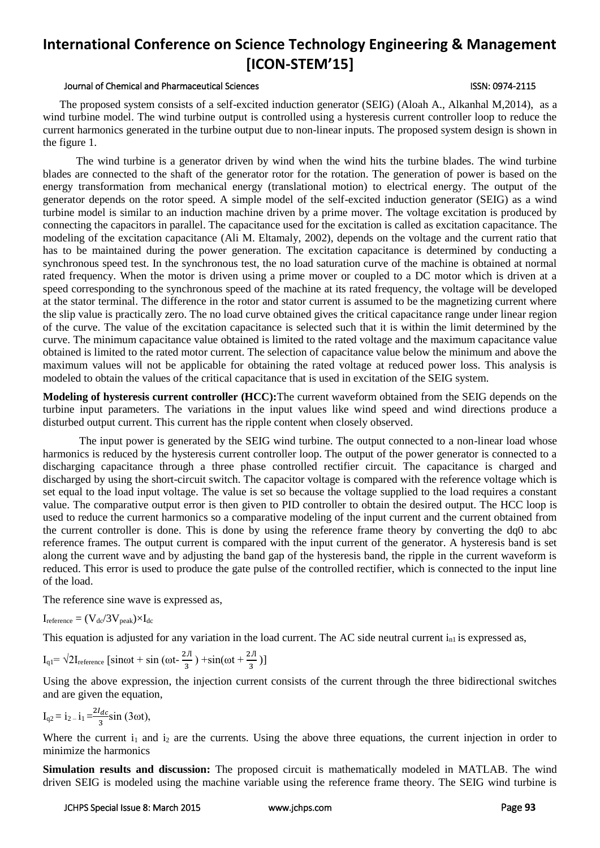### Journal of Chemical and Pharmaceutical Sciences ISSN: 0974-2115

 The proposed system consists of a self-excited induction generator (SEIG) (Aloah A., Alkanhal M,2014), as a wind turbine model. The wind turbine output is controlled using a hysteresis current controller loop to reduce the current harmonics generated in the turbine output due to non-linear inputs. The proposed system design is shown in the figure 1.

 The wind turbine is a generator driven by wind when the wind hits the turbine blades. The wind turbine blades are connected to the shaft of the generator rotor for the rotation. The generation of power is based on the energy transformation from mechanical energy (translational motion) to electrical energy. The output of the generator depends on the rotor speed. A simple model of the self-excited induction generator (SEIG) as a wind turbine model is similar to an induction machine driven by a prime mover. The voltage excitation is produced by connecting the capacitors in parallel. The capacitance used for the excitation is called as excitation capacitance. The modeling of the excitation capacitance (Ali M. Eltamaly, 2002), depends on the voltage and the current ratio that has to be maintained during the power generation. The excitation capacitance is determined by conducting a synchronous speed test. In the synchronous test, the no load saturation curve of the machine is obtained at normal rated frequency. When the motor is driven using a prime mover or coupled to a DC motor which is driven at a speed corresponding to the synchronous speed of the machine at its rated frequency, the voltage will be developed at the stator terminal. The difference in the rotor and stator current is assumed to be the magnetizing current where the slip value is practically zero. The no load curve obtained gives the critical capacitance range under linear region of the curve. The value of the excitation capacitance is selected such that it is within the limit determined by the curve. The minimum capacitance value obtained is limited to the rated voltage and the maximum capacitance value obtained is limited to the rated motor current. The selection of capacitance value below the minimum and above the maximum values will not be applicable for obtaining the rated voltage at reduced power loss. This analysis is modeled to obtain the values of the critical capacitance that is used in excitation of the SEIG system.

**Modeling of hysteresis current controller (HCC):**The current waveform obtained from the SEIG depends on the turbine input parameters. The variations in the input values like wind speed and wind directions produce a disturbed output current. This current has the ripple content when closely observed.

The input power is generated by the SEIG wind turbine. The output connected to a non-linear load whose harmonics is reduced by the hysteresis current controller loop. The output of the power generator is connected to a discharging capacitance through a three phase controlled rectifier circuit. The capacitance is charged and discharged by using the short-circuit switch. The capacitor voltage is compared with the reference voltage which is set equal to the load input voltage. The value is set so because the voltage supplied to the load requires a constant value. The comparative output error is then given to PID controller to obtain the desired output. The HCC loop is used to reduce the current harmonics so a comparative modeling of the input current and the current obtained from the current controller is done. This is done by using the reference frame theory by converting the dq0 to abc reference frames. The output current is compared with the input current of the generator. A hysteresis band is set along the current wave and by adjusting the band gap of the hysteresis band, the ripple in the current waveform is reduced. This error is used to produce the gate pulse of the controlled rectifier, which is connected to the input line of the load.

The reference sine wave is expressed as,

 $I_{\text{reference}} = (V_{\text{dc}}/3V_{\text{peak}}) \times I_{\text{dc}}$ 

This equation is adjusted for any variation in the load current. The AC side neutral current  $i_{nl}$  is expressed as,

$$
I_{q1} = \sqrt{2}I_{reference} \left[ \sin\omega t + \sin\left(\omega t - \frac{2\pi}{3}\right) + \sin(\omega t + \frac{2\pi}{3}) \right]
$$

Using the above expression, the injection current consists of the current through the three bidirectional switches and are given the equation,

$$
I_{q2} = i_2 - i_1 = \frac{2I_{dc}}{3} \sin(3\omega t),
$$

Where the current  $i_1$  and  $i_2$  are the currents. Using the above three equations, the current injection in order to minimize the harmonics

**Simulation results and discussion:** The proposed circuit is mathematically modeled in MATLAB. The wind driven SEIG is modeled using the machine variable using the reference frame theory. The SEIG wind turbine is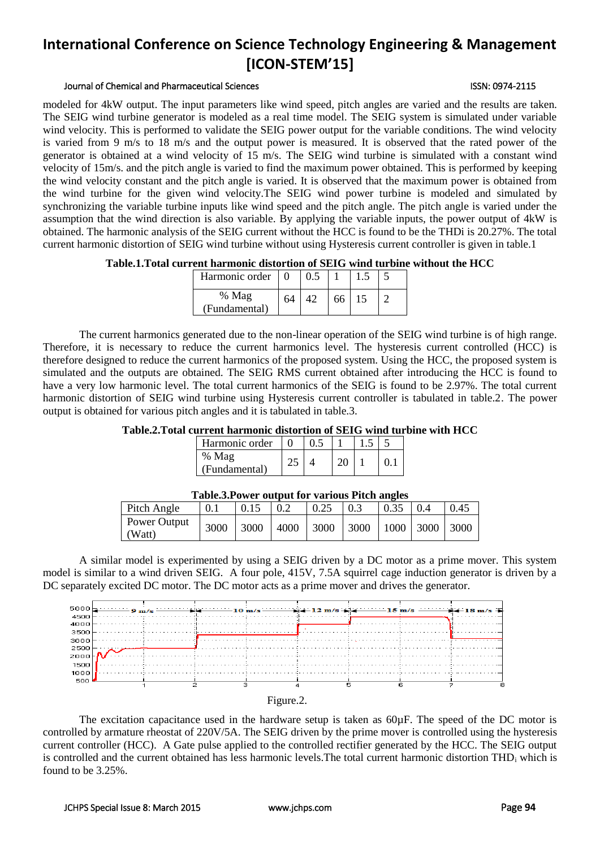### Journal of Chemical and Pharmaceutical Sciences ISSN: 0974-2115

modeled for 4kW output. The input parameters like wind speed, pitch angles are varied and the results are taken. The SEIG wind turbine generator is modeled as a real time model. The SEIG system is simulated under variable wind velocity. This is performed to validate the SEIG power output for the variable conditions. The wind velocity is varied from 9 m/s to 18 m/s and the output power is measured. It is observed that the rated power of the generator is obtained at a wind velocity of 15 m/s. The SEIG wind turbine is simulated with a constant wind velocity of 15m/s. and the pitch angle is varied to find the maximum power obtained. This is performed by keeping the wind velocity constant and the pitch angle is varied. It is observed that the maximum power is obtained from the wind turbine for the given wind velocity.The SEIG wind power turbine is modeled and simulated by synchronizing the variable turbine inputs like wind speed and the pitch angle. The pitch angle is varied under the assumption that the wind direction is also variable. By applying the variable inputs, the power output of 4kW is obtained. The harmonic analysis of the SEIG current without the HCC is found to be the THDi is 20.27%. The total current harmonic distortion of SEIG wind turbine without using Hysteresis current controller is given in table.1

### **Table.1.Total current harmonic distortion of SEIG wind turbine without the HCC**

| Harmonic order         |  |  |  |
|------------------------|--|--|--|
| % Mag<br>(Fundamental) |  |  |  |

The current harmonics generated due to the non-linear operation of the SEIG wind turbine is of high range. Therefore, it is necessary to reduce the current harmonics level. The hysteresis current controlled (HCC) is therefore designed to reduce the current harmonics of the proposed system. Using the HCC, the proposed system is simulated and the outputs are obtained. The SEIG RMS current obtained after introducing the HCC is found to have a very low harmonic level. The total current harmonics of the SEIG is found to be 2.97%. The total current harmonic distortion of SEIG wind turbine using Hysteresis current controller is tabulated in table.2. The power output is obtained for various pitch angles and it is tabulated in table.3.

### **Table.2.Total current harmonic distortion of SEIG wind turbine with HCC**

| Harmonic order         |  |  |  |
|------------------------|--|--|--|
| % Mag<br>(Fundamental) |  |  |  |

| $-$ 0.0 $-$ 0.0 $-$ 0.0 $-$ 0.0 $-$ 0.0 $-$ 0.0 $-$ 0.0 $-$ 0.0 $-$ 0.0 $-$ 0.0 $-$ 0.0 $-$ 0.0 $-$ |      |      |                |      |                     |      |            |      |
|-----------------------------------------------------------------------------------------------------|------|------|----------------|------|---------------------|------|------------|------|
| Pitch Angle                                                                                         |      | 0.15 | 0.2            | 0.25 | 0.3                 | 0.35 | $\mid$ 0.4 | 0.45 |
| Power Output<br>(Watt)                                                                              | 3000 |      | 3000 4000 3000 |      | 3000 1000 3000 3000 |      |            |      |

### **Table.3.Power output for various Pitch angles**

A similar model is experimented by using a SEIG driven by a DC motor as a prime mover. This system model is similar to a wind driven SEIG. A four pole, 415V, 7.5A squirrel cage induction generator is driven by a DC separately excited DC motor. The DC motor acts as a prime mover and drives the generator.



The excitation capacitance used in the hardware setup is taken as  $60\mu$ F. The speed of the DC motor is controlled by armature rheostat of 220V/5A. The SEIG driven by the prime mover is controlled using the hysteresis current controller (HCC). A Gate pulse applied to the controlled rectifier generated by the HCC. The SEIG output is controlled and the current obtained has less harmonic levels.The total current harmonic distortion THD<sup>i</sup> which is found to be 3.25%.